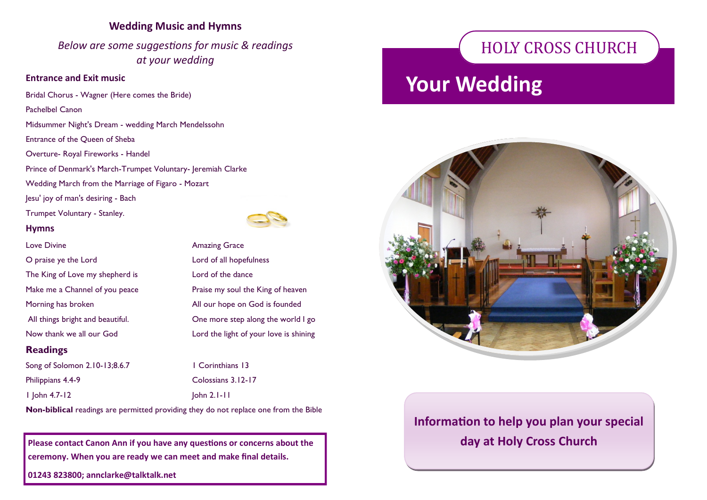### **Wedding Music and Hymns**

*Below are some suggestions for music & readings at your wedding*

### **Entrance and Exit music**

Bridal Chorus - Wagner (Here comes the Bride) Pachelbel Canon Midsummer Night's Dream - wedding March Mendelssohn Entrance of the Queen of Sheba Overture- Royal Fireworks - Handel Prince of Denmark's March-Trumpet Voluntary- Jeremiah Clarke Wedding March from the Marriage of Figaro - Mozart Jesu' joy of man's desiring - Bach Trumpet Voluntary - Stanley. **Hymns** Love Divine **Amazing Grace** 



### **Readings**

Song of Solomon 2.10-13;8.6.7 1 Corinthians 13 Philippians 4.4-9 Colossians 3.12-17

1 John 4.7-12 John 2.1-11

**Non-biblical** readings are permitted providing they do not replace one from the Bible

**Please contact Canon Ann if you have any questions or concerns about the ceremony. When you are ready we can meet and make final details.**

**01243 823800; annclarke@talktalk.net**



**Information to help you plan your special day at Holy Cross Church**

# HOLY CROSS CHURCH

# **Your Wedding**